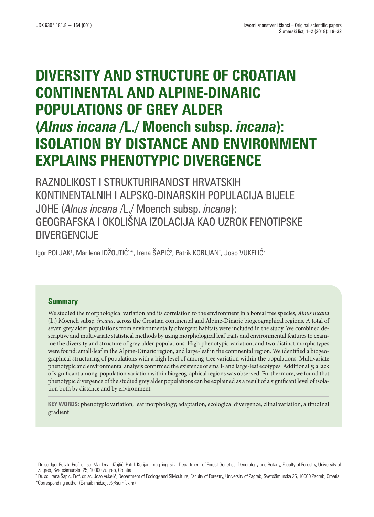# **DIVERSITY AND STRUCTURE OF CROATIAN CONTINENTAL AND ALPINE-DINARIC POPULATIONS OF GREY ALDER (***Alnus incana* **/L./ Moench subsp.** *incana***): ISOLATION BY DISTANCE AND ENVIRONMENT EXPLAINS PHENOTYPIC DIVERGENCE**

RAZNOLIKOST I STRUKTURIRANOST HRVATSKIH KONTINENTALNIH I ALPSKO-DINARSKIH POPULACIJA BIJELE JOHE (*Alnus incana* /L./ Moench subsp. *incana*): GEOGRAFSKA I OKOLIŠNA IZOLACIJA KAO UZROK FENOTIPSKE DIVERGENCIJE

lgor POLJAK', Marilena IDZOJTIC'\*, Irena SAPIC<sup>2</sup>, Patrik KORIJAN†, Joso VUKELIC<sup>2</sup>

# **Summary**

We studied the morphological variation and its correlation to the environment in a boreal tree species, *Alnus incana* (L.) Moench subsp. *incana*, across the Croatian continental and Alpine-Dinaric biogeographical regions. A total of seven grey alder populations from environmentally divergent habitats were included in the study. We combined descriptive and multivariate statistical methods by using morphological leaf traits and environmental features to examine the diversity and structure of grey alder populations. High phenotypic variation, and two distinct morphotypes were found: small-leaf in the Alpine-Dinaric region, and large-leaf in the continental region. We identified a biogeographical structuring of populations with a high level of among-tree variation within the populations. Multivariate phenotypic and environmental analysis confirmed the existence of small- and large-leaf ecotypes. Additionally, a lack of significant among-population variation within biogeographical regions was observed. Furthermore, we found that phenotypic divergence of the studied grey alder populations can be explained as a result of a significant level of isolation both by distance and by environment.

**KEY WORDS:** phenotypic variation, leaf morphology, adaptation, ecological divergence, clinal variation, altitudinal gradient

\*Corresponding author (E-mail: midzojtic@sumfak.hr)

<sup>1</sup> Dr. sc. Igor Poljak, Prof. dr. sc. Marilena Idžojtić, Patrik Korijan, mag. ing. silv., Department of Forest Genetics, Dendrology and Botany, Faculty of Forestry, University of Zagreb, Svetošimunska 25, 10000 Zagreb, Croatia

<sup>&</sup>lt;sup>2</sup> Dr. sc. Irena Šapić, Prof. dr. sc. Joso Vukelić, Department of Ecology and Silviculture, Faculty of Forestry, University of Zagreb, Svetošimunska 25, 10000 Zagreb, Croatia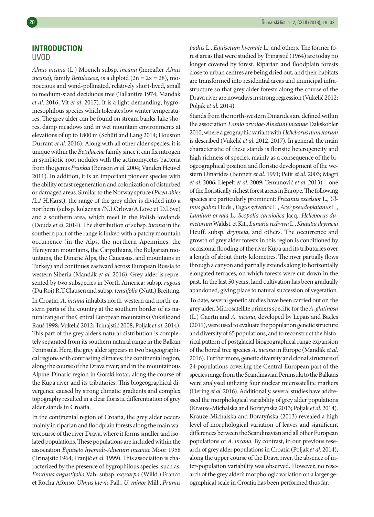# **INTRODUCTION**

## UVOD

*Alnus incana* (L.) Moench subsp. *incana* (hereafter *Alnus incana*), family *Betulaceae*, is a diploid (2n = 2x = 28), monoecious and wind-pollinated, relatively short-lived, small to medium-sized deciduous tree (Tallantire 1974; Mandák *et al*. 2016; Vít *et al*. 2017). It is a light-demanding, hygromesophilous species which tolerates low winter temperatures. The grey alder can be found on stream banks, lake shores, damp meadows and in wet mountain environments at elevations of up to 1800 m (Schütt and Lang 2014; Houston Durrant *et al*. 2016). Along with all other alder species, it is unique within the *Betulaceae* family since it can fix nitrogen in symbiotic root nodules with the actinomycetes bacteria from the genus *Frankia* (Benson *et al*. 2004; Vanden Heuvel 2011). In addition, it is an important pioneer species with the ability of fast regeneration and colonization of disturbed or damaged areas. Similar to the Norway spruce (*Picea abies* /L./ H.Karst), the range of the grey alder is divided into a northern (subsp. kolaensis /N.I.Orlova/Á.Löve et D.Löve) and a southern area, which meet in the Polish lowlands (Douda *et al*. 2014). The distribution of subsp. *incana* in the southern part of the range is linked with a patchy mountain occurrence (in the Alps, the northern Apennines, the Hercynian mountains, the Carpathians, the Bulgarian mountains, the Dinaric Alps, the Caucasus, and mountains in Turkey) and continues eastward across European Russia to western Siberia (Mandák *et al*. 2016). Grey alder is represented by two subspecies in North America: subsp. *rugosa* (Du Roi) R.T.Clausen and subsp. *tenuifolia* (Nutt.) Breitung. In Croatia, *A*. *incana* inhabits north-western and north-eastern parts of the country at the southern border of its natural range of the Central European mountains (Vukelić and Rauš 1998; Vukelić 2012; Trinajstić 2008; Poljak *et al*. 2014). This part of the grey alder's natural distribution is completely separated from its southern natural range in the Balkan Peninsula. Here, the grey alder appears in two biogeographical regions with contrasting climates: the continental region, along the course of the Drava river; and in the mountainous Alpine-Dinaric region in Gorski kotar, along the course of the Kupa river and its tributaries. This biogeographical divergence caused by strong climatic gradients and complex topography resulted in a clear floristic differentiation of grey alder stands in Croatia.

In the continental region of Croatia, the grey alder occurs mainly in riparian and floodplain forests along the main watercourse of the river Drava, where it forms smaller and isolated populations. These populations are included within the association *Equiseto hyemali*-*Alnetum incanae* Moor 1958 (Trinajstić 1964; Franjić *et al*. 1999). This association is characterized by the presence of hygrophilous species, such as: *Fraxinus angustifolia* Vahl subsp. *oxycarpa* (Willd.) Franco et Rocha Afonso, *Ulmus laevis* Pall., *U*. *minor* Mill., *Prunus*  *padus* L., *Equisetum hyemale* L., and others. The former forest areas that were studied by Trinajstić (1964) are today no longer covered by forest. Riparian and floodplain forests close to urban centres are being dried out, and their habitats are transformed into residential areas and municipal infrastructure so that grey alder forests along the course of the Drava river are nowadays in strong regression (Vukelić 2012; Poljak *et al.* 2014).

Stands from the north-western Dinarides are defined within the association *Lamio orvalae-Alnetum incanae* Dakskobler 2010, where a geographic variant with *Helleborus dumetorum*  is described (Vukelić *et al*. 2012, 2017). In general, the main characteristic of these stands is floristic heterogeneity and high richness of species, mainly as a consequence of the biogeographical position and floristic development of the western Dinarides (Bennett *et al*. 1991; Petit *et al*. 2003; Magri *et al*. 2006; Liepelt *et al*. 2009; Temunović *et al*. 2013) – one of the floristically richest forest areas in Europe. The following species are particularly prominent: *Fraxinus excelsior* L., *Ulmus glabra* Huds., *Fagus sylvatica* L., *Acer pseudoplatanus* L., *Lamium orvala* L., *Scopolia carniolica* Jacq., *Helleborus dumetorum* Waldst. et Kit., *Lunaria rediviva* L., *Knautia drymeia* Heuff. subsp. *drymeia*, and others. The occurrence and growth of grey alder forests in this region is conditioned by occasional flooding of the river Kupa and its tributaries over a length of about thirty kilometres. The river partially flows through a canyon and partially extends along to horizontally elongated terraces, on which forests were cut down in the past. In the last 50 years, land cultivation has been gradually abandoned, giving place to natural succession of vegetation.

To date, several genetic studies have been carried out on the grey alder. Microsatellite primers specific for the *A*. *glutinosa* (L.) Gaertn and *A*. *incana*, developed by Lepais and Bacles (2011), were used to evaluate the population genetic structure and diversity of 65 populations, and to reconstruct the historical pattern of postglacial biogeographical range expansion of the boreal tree species *A*. *incana* in Europe (Mandák *et al*. 2016). Furthermore, genetic diversity and clonal structure of 24 populations covering the Central European part of the species range from the Scandinavian Peninsula to the Balkans were analysed utilizing four nuclear microsatellite markers (Dering *et al*. 2016). Additionally, several studies have addressed the morphological variability of grey alder populations (Krauze-Michalska and Boratyńska 2013; Poljak *et al*. 2014). Krauze-Michalska and Boratyńska (2013) revealed a high level of morphological variation of leaves and significant differences between the Scandinavian and all other European populations of *A*. *incana*. By contrast, in our previous research of grey alder populations in Croatia (Poljak *et al*. 2014), along the upper course of the Drava river, the absence of inter-population variability was observed. However, no research of the grey alder's morphologic variation on a larger geographical scale in Croatia has been performed thus far.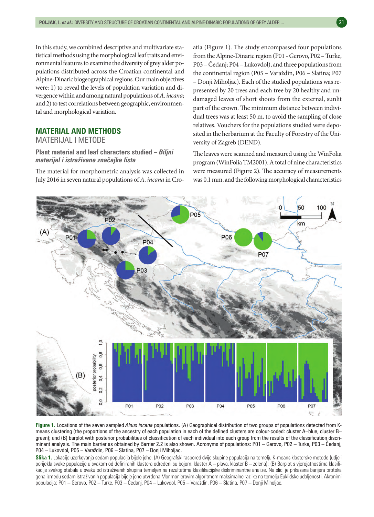In this study, we combined descriptive and multivariate statistical methods using the morphological leaf traits and environmental features to examine the diversity of grey alder populations distributed across the Croatian continental and Alpine-Dinaric biogeographical regions. Our main objectives were: 1) to reveal the levels of population variation and divergence within and among natural populations of *A*. *incana*; and 2) to test correlations between geographic, environmental and morphological variation.

# **MATERIAL AND METHODS**

MATERIJAL I METODE

**Plant material and leaf characters studied –** *Biljni materijal i istraživane značajke lista*

The material for morphometric analysis was collected in July 2016 in seven natural populations of *A*. *incana* in Croatia (Figure 1). The study encompassed four populations from the Alpine-Dinaric region (P01 - Gerovo, P02 – Turke, P03 – Čedanj; P04 – Lukovdol), and three populations from the continental region (P05 – Varaždin, P06 – Slatina; P07 – Donji Miholjac). Each of the studied populations was represented by 20 trees and each tree by 20 healthy and undamaged leaves of short shoots from the external, sunlit part of the crown. The minimum distance between individual trees was at least 50 m, to avoid the sampling of close relatives. Vouchers for the populations studied were deposited in the herbarium at the Faculty of Forestry of the University of Zagreb (DEND).

The leaves were scanned and measured using the WinFolia program (WinFolia TM2001). A total of nine characteristics were measured (Figure 2). The accuracy of measurements was 0.1 mm, and the following morphological characteristics



**Figure 1.** Locations of the seven sampled *Alnus incana* populations. (A) Geographical distribution of two groups of populations detected from Kmeans clustering (the proportions of the ancestry of each population in each of the defined clusters are colour-coded: cluster A–blue, cluster B– green); and (B) barplot with posterior probabilities of classification of each individual into each group from the results of the classification discriminant analysis. The main barrier as obtained by Barrier 2.2 is also shown. Acronyms of populations: P01 – Gerovo, P02 – Turke, P03 – Čedanj, P04 – Lukovdol, P05 – Varaždin, P06 – Slatina, P07 – Donji Miholjac.

**Slika 1.** Lokacije uzorkovanja sedam populacija bijele johe. (A) Geografski raspored dvije skupine populacija na temelju K-means klasterske metode (udjeli porijekla svake populacije u svakom od definiranih klastera određeni su bojom: klaster A – plava, klaster B – zelena); (B) Barplot s vjerojatnostima klasifikacije svakog stabala u svaku od istraživanih skupina temeljen na rezultatima klasifikacijske diskriminantne analize. Na slici je prikazana barijera protoka gena između sedam istraživanih populacija bijele johe utvrđena Monmonierovim algoritmom maksimalne razlike na temelju Euklidske udaljenosti. Akronimi populacija: P01 – Gerovo, P02 – Turke, P03 – Čedanj, P04 – Lukovdol, P05 – Varaždin, P06 – Slatina, P07 – Donji Miholjac.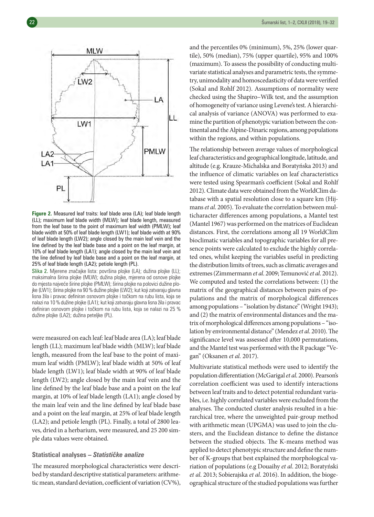

**Figure 2.** Measured leaf traits: leaf blade area (LA); leaf blade length (LL); maximum leaf blade width (MLW); leaf blade length, measured from the leaf base to the point of maximum leaf width (PMLW); leaf blade width at 50% of leaf blade length (LW1); leaf blade width at 90% of leaf blade length (LW2); angle closed by the main leaf vein and the line defined by the leaf blade base and a point on the leaf margin, at 10% of leaf blade length (LA1); angle closed by the main leaf vein and the line defined by leaf blade base and a point on the leaf margin, at 25% of leaf blade length (LA2); petiole length (PL).

Slika 2. Mjerene značajke lista: površina plojke (LA); dužina plojke (LL); maksimalna širina plojke (MLW); dužina plojke, mjerena od osnove plojke do mjesta najveće širine plojke (PMLW); širina plojke na polovici dužine plojke (LW1); širina plojke na 90 % dužine plojke (LW2); kut koji zatvaraju glavna lisna žila i pravac definiran osnovom plojke i točkom na rubu lista, koja se nalazi na 10 % dužine plojke (LA1); kut koji zatvaraju glavna lisna žila i pravac definiran osnovom plojke i točkom na rubu lista, koja se nalazi na 25 % dužine plojke (LA2); dužina peteljke (PL).

were measured on each leaf: leaf blade area (LA); leaf blade length (LL); maximum leaf blade width (MLW); leaf blade length, measured from the leaf base to the point of maximum leaf width (PMLW); leaf blade width at 50% of leaf blade length (LW1); leaf blade width at 90% of leaf blade length (LW2); angle closed by the main leaf vein and the line defined by the leaf blade base and a point on the leaf margin, at 10% of leaf blade length (LA1); angle closed by the main leaf vein and the line defined by leaf blade base and a point on the leaf margin, at 25% of leaf blade length (LA2); and petiole length (PL). Finally, a total of 2800 leaves, dried in a herbarium, were measured, and 25 200 simple data values were obtained.

#### **Statistical analyses –** *Statističke analize*

The measured morphological characteristics were described by standard descriptive statistical parameters: arithmetic mean, standard deviation, coefficient of variation (CV%), and the percentiles 0% (minimum), 5%, 25% (lower quartile), 50% (median), 75% (upper quartile), 95% and 100% (maximum). To assess the possibility of conducting multivariate statistical analyses and parametric tests, the symmetry, unimodality and homoscedasticity of data were verified (Sokal and Rohlf 2012). Assumptions of normality were checked using the Shapiro–Wilk test, and the assumption of homogeneity of variance using Levene's test. A hierarchical analysis of variance (ANOVA) was performed to examine the partition of phenotypic variation between the continental and the Alpine-Dinaric regions, among populations within the regions, and within populations.

The relationship between average values of morphological leaf characteristics and geographical longitude, latitude, and altitude (e.g. Krauze-Michalska and Boratyńska 2013) and the influence of climatic variables on leaf characteristics were tested using Spearman's coefficient (Sokal and Rohlf 2012). Climate data were obtained from the WorldClim database with a spatial resolution close to a square km (Hijmans *et al*. 2005). To evaluate the correlation between multicharacter differences among populations, a Mantel test (Mantel 1967) was performed on the matrices of Euclidean distances. First, the correlations among all 19 WorldClim bioclimatic variables and topographic variables for all presence points were calculated to exclude the highly correlated ones, whilst keeping the variables useful in predicting the distribution limits of trees, such as climatic averages and extremes (Zimmermann *et al*. 2009; Temunović *et al*. 2012). We computed and tested the correlations between: (1) the matrix of the geographical distances between pairs of populations and the matrix of morphological differences among populations – "isolation by distance" (Wright 1943); and (2) the matrix of environmental distances and the matrix of morphological differences among populations – "isolation by environmental distance" (Mendez *et al*. 2010). The significance level was assessed after 10,000 permutations, and the Mantel test was performed with the R package "Vegan" (Oksanen *et al.* 2017).

Multivariate statistical methods were used to identify the population differentiation (McGarigal *et al*. 2000). Pearson's correlation coefficient was used to identify interactions between leaf traits and to detect potential redundant variables, i.e. highly correlated variables were excluded from the analyses. The conducted cluster analysis resulted in a hierarchical tree, where the unweighted pair-group method with arithmetic mean (UPGMA) was used to join the clusters, and the Euclidean distance to define the distance between the studied objects. The K-means method was applied to detect phenotypic structure and define the number of K-groups that best explained the morphological variation of populations (e.g Douaihy *et al*. 2012; Boratyński *et al*. 2013; Sobierajska *et al*. 2016). In addition, the biogeographical structure of the studied populations was further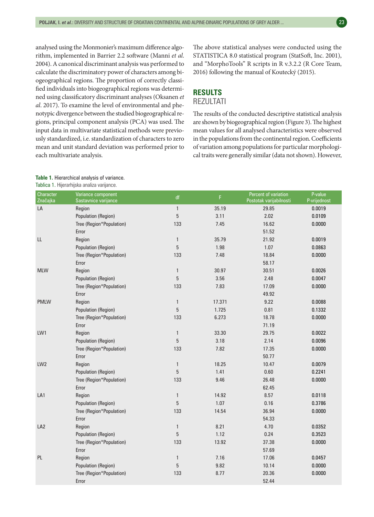analysed using the Monmonier's maximum difference algorithm, implemented in Barrier 2.2 software (Manni *et al*. 2004). A canonical discriminant analysis was performed to calculate the discriminatory power of characters among biogeographical regions. The proportion of correctly classified individuals into biogeographical regions was determined using classificatory discriminant analyses (Oksanen *et al*. 2017). To examine the level of environmental and phenotypic divergence between the studied biogeographical regions, principal component analysis (PCA) was used. The input data in multivariate statistical methods were previously standardized, i.e. standardization of characters to zero mean and unit standard deviation was performed prior to each multivariate analysis.

## The above statistical analyses were conducted using the STATISTICA 8.0 statistical program (StatSoft, Inc. 2001), and "MorphoTools" R scripts in R v.3.2.2 (R Core Team, 2016) following the manual of Koutecký (2015).

# **RESULTS**

# **REZULTATI**

The results of the conducted descriptive statistical analysis are shown by biogeographical region (Figure 3). The highest mean values for all analysed characteristics were observed in the populations from the continental region. Coefficients of variation among populations for particular morphological traits were generally similar (data not shown). However,

#### **Table 1.** Hierarchical analysis of variance. Tablica 1. Hijerarhijska analiza varijance.

| Character<br>Značajka | Variance component<br>Sastavnice varijance | df            | F.     | Percent of variation<br>Postotak varijabilnosti | P-value<br>P-vrijednost |
|-----------------------|--------------------------------------------|---------------|--------|-------------------------------------------------|-------------------------|
| LA                    | Region                                     | $\mathbf{1}$  | 35.19  | 29.85                                           | 0.0019                  |
|                       | Population (Region)                        | $\mathbf 5$   | 3.11   | 2.02                                            | 0.0109                  |
|                       | Tree (Region*Population)                   | 133           | 7.45   | 16.62                                           | 0.0000                  |
|                       | Error                                      |               |        | 51.52                                           |                         |
| LL                    | Region                                     | $\mathbf{1}$  | 35.79  | 21.92                                           | 0.0019                  |
|                       | Population (Region)                        | $\mathbf 5$   | 1.98   | 1.07                                            | 0.0863                  |
|                       | Tree (Region*Population)                   | 133           | 7.48   | 18.84                                           | 0.0000                  |
|                       | Error                                      |               |        | 58.17                                           |                         |
| <b>MLW</b>            | Region                                     | $\mathbf{1}$  | 30.97  | 30.51                                           | 0.0026                  |
|                       | Population (Region)                        | 5             | 3.56   | 2.48                                            | 0.0047                  |
|                       | Tree (Region*Population)                   | 133           | 7.83   | 17.09                                           | 0.0000                  |
|                       | Error                                      |               |        | 49.92                                           |                         |
| <b>PMLW</b>           | Region                                     | $\mathbf{1}$  | 17.371 | 9.22                                            | 0.0088                  |
|                       | Population (Region)                        | $\mathbf 5$   | 1.725  | 0.81                                            | 0.1332                  |
|                       | Tree (Region*Population)                   | 133           | 6.273  | 18.78                                           | 0.0000                  |
|                       | Error                                      |               |        | 71.19                                           |                         |
| LW1                   | Region                                     | $\mathbf{1}$  | 33.30  | 29.75                                           | 0.0022                  |
|                       | Population (Region)                        | $\mathbf 5$   | 3.18   | 2.14                                            | 0.0096                  |
|                       | Tree (Region*Population)                   | 133           | 7.82   | 17.35                                           | 0.0000                  |
|                       | Error                                      |               |        | 50.77                                           |                         |
| LW <sub>2</sub>       | Region                                     | $\mathbf{1}$  | 18.25  | 10.47                                           | 0.0079                  |
|                       | Population (Region)                        | 5             | 1.41   | 0.60                                            | 0.2241                  |
|                       | Tree (Region*Population)                   | 133           | 9.46   | 26.48                                           | 0.0000                  |
|                       | Error                                      |               |        | 62.45                                           |                         |
| LA1                   | Region                                     | $\mathbf{1}$  | 14.92  | 8.57                                            | 0.0118                  |
|                       | Population (Region)                        | $5\,$         | 1.07   | 0.16                                            | 0.3786                  |
|                       | Tree (Region*Population)                   | 133           | 14.54  | 36.94                                           | 0.0000                  |
|                       | Error                                      |               |        | 54.33                                           |                         |
| LA <sub>2</sub>       | Region                                     | $\mathbbm{1}$ | 8.21   | 4.70                                            | 0.0352                  |
|                       | Population (Region)                        | $\mathbf 5$   | 1.12   | 0.24                                            | 0.3523                  |
|                       | Tree (Region*Population)                   | 133           | 13.92  | 37.38                                           | 0.0000                  |
|                       | Error                                      |               |        | 57.69                                           |                         |
| PL                    | Region                                     | $\mathbf{1}$  | 7.16   | 17.06                                           | 0.0457                  |
|                       | Population (Region)                        | $\mathbf 5$   | 9.82   | 10.14                                           | 0.0000                  |
|                       | Tree (Region*Population)                   | 133           | 8.77   | 20.36                                           | 0.0000                  |
|                       | Error                                      |               |        | 52.44                                           |                         |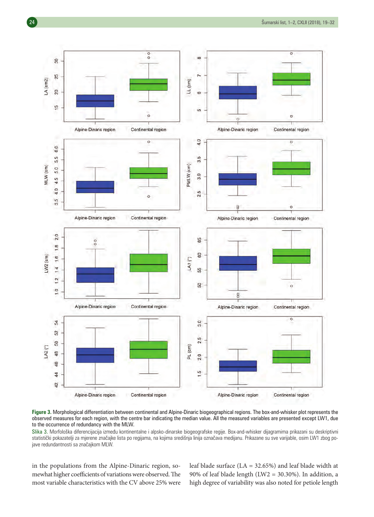

**Figure 3.** Morphological differentiation between continental and Alpine-Dinaric biogeographical regions. The box-and-whisker plot represents the observed measures for each region, with the centre bar indicating the median value. All the measured variables are presented except LW1, due to the occurrence of redundancy with the MLW.

Slika 3. Morfološka diferencijacija između kontinentalne i alpsko-dinarske biogeografske regije. Box-and-whisker dijagramima prikazani su deskriptivni statistički pokazatelji za mjerene značajke lista po regijama, na kojima središnja linija označava medijanu. Prikazane su sve varijable, osim LW1 zbog pojave redundantnosti sa značajkom MLW.

in the populations from the Alpine-Dinaric region, somewhat higher coefficients of variations were observed. The most variable characteristics with the CV above 25% were leaf blade surface (LA = 32.65%) and leaf blade width at 90% of leaf blade length (LW2 = 30.30%). In addition, a high degree of variability was also noted for petiole length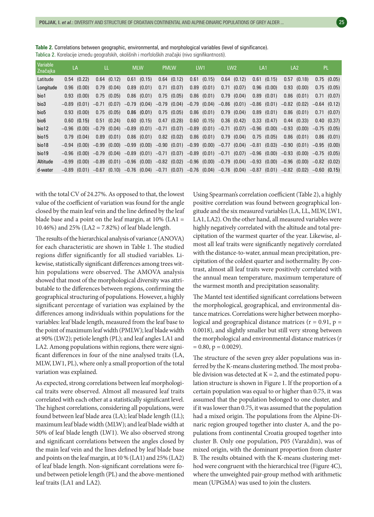| Variable<br>Značajka | LA |                 | LL.     |                 | <b>MLW</b>                                                                                                                              | <b>PMLW</b>     | LW <sub>1</sub> |                 |      | LW <sub>2</sub> |      | LA <sub>1</sub> |      | LA <sub>2</sub> |                | PL.             |
|----------------------|----|-----------------|---------|-----------------|-----------------------------------------------------------------------------------------------------------------------------------------|-----------------|-----------------|-----------------|------|-----------------|------|-----------------|------|-----------------|----------------|-----------------|
| Latitude             |    | $0.54$ $(0.22)$ |         | $0.64$ $(0.12)$ | $0.61$ (0.15)                                                                                                                           | $0.64$ $(0.12)$ | 0.61            | (0.15)          |      | $0.64$ $(0.12)$ | 0.61 | (0.15)          |      | $0.57$ $(0.18)$ |                | $0.75$ $(0.05)$ |
| Longitude            |    | $0.96$ $(0.00)$ |         | $0.79$ $(0.04)$ | $0.89$ $(0.01)$                                                                                                                         | $0.71$ $(0.07)$ |                 | $0.89$ $(0.01)$ | 0.71 | (0.07)          | 0.96 | (0.00)          |      | $0.93$ $(0.00)$ |                | $0.75$ $(0.05)$ |
| bio1                 |    | $0.93$ $(0.00)$ |         | $0.75$ $(0.05)$ | $0.86$ $(0.01)$                                                                                                                         | $0.75$ $(0.05)$ |                 | $0.86$ $(0.01)$ | 0.79 | (0.04)          | 0.89 | (0.01)          | 0.86 | (0.01)          |                | $0.71$ $(0.07)$ |
| bio3                 |    | $-0.89$ (0.01)  | $-0.71$ | (0.07)          | $-0.79$ (0.04) $-0.79$ (0.04) $-0.79$ (0.04) $-0.86$ (0.01) $-0.86$ (0.01)                                                              |                 |                 |                 |      |                 |      |                 |      | $-0.82$ (0.02)  | $-0.64$ (0.12) |                 |
| bio <sub>5</sub>     |    | $0.93$ $(0.00)$ |         | $0.75$ $(0.05)$ | $0.86$ (0.01)                                                                                                                           | $0.75$ $(0.05)$ |                 | $0.86$ $(0.01)$ |      | $0.79$ $(0.04)$ | 0.89 | (0.01)          |      | $0.86$ $(0.01)$ |                | $0.71$ $(0.07)$ |
| bio <sub>6</sub>     |    | $0.60$ $(0.15)$ |         | $0.51$ $(0.24)$ | $0.60$ $(0.15)$                                                                                                                         | $0.47$ $(0.28)$ |                 | $0.60$ $(0.15)$ |      | $0.36$ $(0.42)$ |      | 0.33(0.47)      |      | $0.44$ (0.33)   |                | 0.40(0.37)      |
| bio12                |    | $-0.96$ (0.00)  |         | $-0.79$ (0.04)  | $-0.89$ (0.01) $-0.71$ (0.07) $-0.89$ (0.01) $-0.71$ (0.07) $-0.96$ (0.00) $-0.93$ (0.00)                                               |                 |                 |                 |      |                 |      |                 |      |                 | $-0.75$ (0.05) |                 |
| bio15                |    | 0.79(0.04)      |         | $0.89$ $(0.01)$ | $0.86$ $(0.01)$                                                                                                                         | $0.82$ $(0.02)$ |                 | $0.86$ $(0.01)$ |      | $0.79$ $(0.04)$ | 0.75 | (0.05)          |      | $0.86$ $(0.01)$ |                | $0.86$ $(0.01)$ |
| bio18                |    | $-0.94$ (0.00)  |         | $-0.99$ (0.00)  | $-0.99$ (0.00) $-0.90$ (0.01) $-0.99$ (0.00) $-0.77$ (0.04) $-0.81$ (0.03) $-0.90$ (0.01)                                               |                 |                 |                 |      |                 |      |                 |      |                 | $-0.95$ (0.00) |                 |
| bio19                |    |                 |         |                 | $-0.96$ (0.00) $-0.79$ (0.04) $-0.89$ (0.01) $-0.71$ (0.07) $-0.89$ (0.01) $-0.71$ (0.07) $-0.96$ (0.00) $-0.93$ (0.00)                 |                 |                 |                 |      |                 |      |                 |      |                 | $-0.75$ (0.05) |                 |
| Altitude             |    |                 |         |                 | $-0.99$ $(0.00)$ $-0.89$ $(0.01)$ $-0.96$ $(0.00)$ $-0.82$ $(0.02)$ $-0.96$ $(0.00)$ $-0.79$ $(0.04)$ $-0.93$ $(0.00)$ $-0.96$ $(0.00)$ |                 |                 |                 |      |                 |      |                 |      |                 | $-0.82$ (0.02) |                 |
| d-water              |    |                 |         |                 | $-0.89$ $(0.01)$ $-0.67$ $(0.10)$ $-0.76$ $(0.04)$ $-0.71$ $(0.07)$ $-0.76$ $(0.04)$ $-0.76$ $(0.04)$ $-0.87$ $(0.01)$ $-0.82$ $(0.02)$ |                 |                 |                 |      |                 |      |                 |      |                 | $-0.60(0.15)$  |                 |

**Table 2.** Correlations between geographic, environmental, and morphological variables (level of significance). Tablica 2. Korelacije između geografskih, okolišnih i morfoloških značajki (nivo signifikantnosti).

with the total CV of 24.27%. As opposed to that, the lowest value of the coefficient of variation was found for the angle closed by the main leaf vein and the line defined by the leaf blade base and a point on the leaf margin, at  $10\%$  (LA1 = 10.46%) and 25% (LA2 = 7.82%) of leaf blade length.

The results of the hierarchical analysis of variance (ANOVA) for each characteristic are shown in Table 1. The studied regions differ significantly for all studied variables. Likewise, statistically significant differences among trees within populations were observed. The AMOVA analysis showed that most of the morphological diversity was attributable to the differences between regions, confirming the geographical structuring of populations. However, a highly significant percentage of variation was explained by the differences among individuals within populations for the variables: leaf blade length, measured from the leaf base to the point of maximum leaf width (PMLW); leaf blade width at 90% (LW2); petiole length (PL); and leaf angles LA1 and LA2. Among populations within regions, there were significant differences in four of the nine analysed traits (LA, MLW, LW1, PL), where only a small proportion of the total variation was explained.

As expected, strong correlations between leaf morphological traits were observed. Almost all measured leaf traits correlated with each other at a statistically significant level. The highest correlations, considering all populations, were found between leaf blade area (LA); leaf blade length (LL); maximum leaf blade width (MLW); and leaf blade width at 50% of leaf blade length (LW1). We also observed strong and significant correlations between the angles closed by the main leaf vein and the lines defined by leaf blade base and points on the leaf margin, at 10 % (LA1) and 25% (LA2) of leaf blade length. Non-significant correlations were found between petiole length (PL) and the above-mentioned leaf traits (LA1 and LA2).

Using Spearman's correlation coefficient (Table 2), a highly positive correlation was found between geographical longitude and the six measured variables (LA, LL, MLW, LW1, LA1, LA2). On the other hand, all measured variables were highly negatively correlated with the altitude and total precipitation of the warmest quarter of the year. Likewise, almost all leaf traits were significantly negatively correlated with the distance-to-water, annual mean precipitation, precipitation of the coldest quarter and isothermality. By contrast, almost all leaf traits were positively correlated with the annual mean temperature, maximum temperature of the warmest month and precipitation seasonality.

The Mantel test identified significant correlations between the morphological, geographical, and environmental distance matrices. Correlations were higher between morphological and geographical distance matrices ( $r = 0.91$ ,  $p =$ 0.0018), and slightly smaller but still very strong between the morphological and environmental distance matrices (r  $= 0.80$ ,  $p = 0.0029$ ).

The structure of the seven grey alder populations was inferred by the K-means clustering method. The most probable division was detected at  $K = 2$ , and the estimated population structure is shown in Figure 1. If the proportion of a certain population was equal to or higher than 0.75, it was assumed that the population belonged to one cluster, and if it was lower than 0.75, it was assumed that the population had a mixed origin. The populations from the Alpine-Dinaric region grouped together into cluster A, and the populations from continental Croatia grouped together into cluster B. Only one population, P05 (Varaždin), was of mixed origin, with the dominant proportion from cluster B. The results obtained with the K-means clustering method were congruent with the hierarchical tree (Figure 4C), where the unweighted pair-group method with arithmetic mean (UPGMA) was used to join the clusters.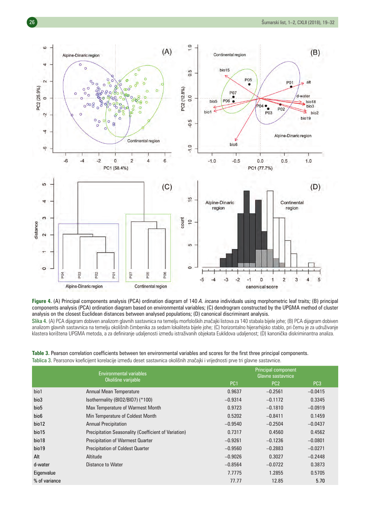

**Figure 4.** (A) Principal components analysis (PCA) ordination diagram of 140 *A. incana* individuals using morphometric leaf traits; (B) principal components analysis (PCA) ordination diagram based on environmental variables; (C) dendrogram constructed by the UPGMA method of cluster analysis on the closest Euclidean distances between analysed populations; (D) canonical discriminant analysis.

Slika 4. (A) PCA dijagram dobiven analizom glavnih sastavnica na temelju morfoloških značajki listova za 140 stabala bijele johe; (B) PCA dijagram dobiven analizom glavnih sastavnica na temelju okolišnih čimbenika za sedam lokaliteta bijele johe; (C) horizontalno hijerarhijsko stablo, pri čemu je za udruživanje klastera korištena UPGMA metoda, a za definiranje udaljenosti između istraživanih objekata Euklidova udaljenost; (D) kanonička diskriminantna analiza.

**Table 3.** Pearson correlation coefficients between ten environmental variables and scores for the first three principal components.

Tablica 3. Pearsonov koeficijent korelacije između deset sastavnica okolišnih značajki i vrijednosti prve tri glavne sastavnice.

|                  | <b>Environmental variables</b>                       |                 | <b>Principal component</b><br>Glavne sastavnice |                 |  |  |  |  |
|------------------|------------------------------------------------------|-----------------|-------------------------------------------------|-----------------|--|--|--|--|
|                  | Okolišne varijable                                   | PC <sub>1</sub> | PC <sub>2</sub>                                 | PC <sub>3</sub> |  |  |  |  |
| bio1             | <b>Annual Mean Temperature</b>                       | 0.9637          | $-0.2561$                                       | $-0.0415$       |  |  |  |  |
| bio3             | Isothermality (BIO2/BIO7) (*100)                     | $-0.9314$       | $-0.1172$                                       | 0.3345          |  |  |  |  |
| bio <sub>5</sub> | Max Temperature of Warmest Month                     | 0.9723          | $-0.1810$                                       | $-0.0919$       |  |  |  |  |
| bio <sub>6</sub> | Min Temperature of Coldest Month                     | 0.5202          | $-0.8411$                                       | 0.1459          |  |  |  |  |
| bio12            | <b>Annual Precipitation</b>                          | $-0.9540$       | $-0.2504$                                       | $-0.0437$       |  |  |  |  |
| bio15            | Precipitation Seasonality (Coefficient of Variation) | 0.7317          | 0.4560                                          | 0.4562          |  |  |  |  |
| bio18            | <b>Precipitation of Warmest Quarter</b>              | $-0.9261$       | $-0.1236$                                       | $-0.0801$       |  |  |  |  |
| bio19            | <b>Precipitation of Coldest Quarter</b>              | $-0.9560$       | $-0.2883$                                       | $-0.0271$       |  |  |  |  |
| Alt              | Altitude                                             | $-0.9026$       | 0.3027                                          | $-0.2448$       |  |  |  |  |
| d-water          | Distance to Water                                    | $-0.8564$       | $-0.0722$                                       | 0.3873          |  |  |  |  |
| Eigenvalue       |                                                      | 7.7775          | 1.2855                                          | 0.5705          |  |  |  |  |
| % of variance    |                                                      | 77.77           | 12.85                                           | 5.70            |  |  |  |  |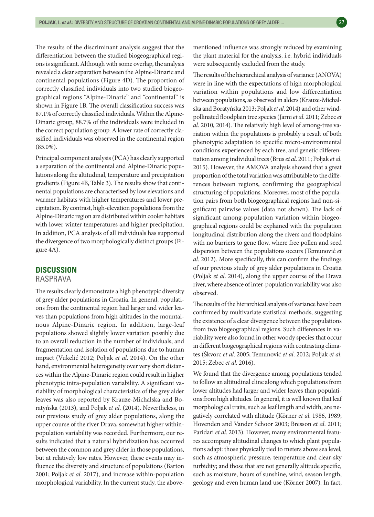The results of the discriminant analysis suggest that the differentiation between the studied biogeographical regions is significant. Although with some overlap, the analysis revealed a clear separation between the Alpine-Dinaric and continental populations (Figure 4D). The proportion of correctly classified individuals into two studied biogeographical regions "Alpine-Dinaric" and "continental" is shown in Figure 1B. The overall classification success was 87.1% of correctly classified individuals. Within the Alpine-Dinaric group, 88.7% of the individuals were included in the correct population group. A lower rate of correctly classified individuals was observed in the continental region  $(85.0\%)$ .

Principal component analysis (PCA) has clearly supported a separation of the continental and Alpine-Dinaric populations along the altitudinal, temperature and precipitation gradients (Figure 4B, Table 3). The results show that continental populations are characterised by low elevations and warmer habitats with higher temperatures and lower precipitation. By contrast, high-elevation populations from the Alpine-Dinaric region are distributed within cooler habitats with lower winter temperatures and higher precipitation. In addition, PCA analysis of all individuals has supported the divergence of two morphologically distinct groups (Figure 4A).

#### **DISCUSSION**

### RASPRAVA

The results clearly demonstrate a high phenotypic diversity of grey alder populations in Croatia. In general, populations from the continental region had larger and wider leaves than populations from high altitudes in the mountainous Alpine-Dinaric region. In addition, large-leaf populations showed slightly lower variation possibly due to an overall reduction in the number of individuals, and fragmentation and isolation of populations due to human impact (Vukelić 2012; Poljak *et al*. 2014). On the other hand, environmental heterogeneity over very short distances within the Alpine-Dinaric region could result in higher phenotypic intra-population variability. A significant variability of morphological characteristics of the grey alder leaves was also reported by Krauze-Michalska and Boratyńska (2013), and Poljak *et al*. (2014). Nevertheless, in our previous study of grey alder populations, along the upper course of the river Drava, somewhat higher withinpopulation variability was recorded. Furthermore, our results indicated that a natural hybridization has occurred between the common and grey alder in those populations, but at relatively low rates. However, these events may influence the diversity and structure of populations (Barton 2001; Poljak *et al*. 2017), and increase within-population morphological variability. In the current study, the abovementioned influence was strongly reduced by examining the plant material for the analysis, i.e. hybrid individuals were subsequently excluded from the study.

The results of the hierarchical analysis of variance (ANOVA) were in line with the expectations of high morphological variation within populations and low differentiation between populations, as observed in alders (Krauze-Michalska and Boratyńska 2013; Poljak *et al*. 2014) and other windpollinated floodplain tree species (Jarni *et al*. 2011; Zebec *et al*. 2010, 2014). The relatively high level of among-tree variation within the populations is probably a result of both phenotypic adaptation to specific micro-environmental conditions experienced by each tree, and genetic differentiation among individual trees (Brus *et al*. 2011; Poljak *et al*. 2015). However, the AMOVA analysis showed that a great proportion of the total variation was attributable to the differences between regions, confirming the geographical structuring of populations. Moreover, most of the population pairs from both biogeographical regions had non-significant pairwise values (data not shown). The lack of significant among-population variation within biogeographical regions could be explained with the population longitudinal distribution along the rivers and floodplains with no barriers to gene flow, where free pollen and seed dispersion between the populations occurs (Temunović *et al*. 2012). More specifically, this can confirm the findings of our previous study of grey alder populations in Croatia (Poljak *et al*. 2014), along the upper course of the Drava river, where absence of inter-population variability was also observed.

The results of the hierarchical analysis of variance have been confirmed by multivariate statistical methods, suggesting the existence of a clear divergence between the populations from two biogeographical regions. Such differences in variability were also found in other woody species that occur in different biogeographical regions with contrasting climates (Škvorc *et al*. 2005; Temunović *et al*. 2012; Poljak *et al*. 2015; Zebec *et al*. 2016).

We found that the divergence among populations tended to follow an altitudinal cline along which populations from lower altitudes had larger and wider leaves than populations from high altitudes. In general, it is well known that leaf morphological traits, such as leaf length and width, are negatively correlated with altitude (Körner *et al*. 1986, 1989; Hovenden and Vander Schoor 2003; Bresson *et al*. 2011; Paridari *et al*. 2013). However, many environmental features accompany altitudinal changes to which plant populations adapt: those physically tied to meters above sea level, such as atmospheric pressure, temperature and clear-sky turbidity; and those that are not generally altitude specific, such as moisture, hours of sunshine, wind, season length, geology and even human land use (Körner 2007). In fact,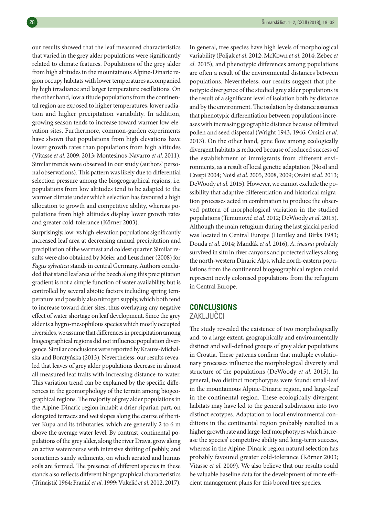our results showed that the leaf measured characteristics that varied in the grey alder populations were significantly related to climate features. Populations of the grey alder from high altitudes in the mountainous Alpine-Dinaric region occupy habitats with lower temperatures accompanied by high irradiance and larger temperature oscillations. On the other hand, low altitude populations from the continental region are exposed to higher temperatures, lower radiation and higher precipitation variability. In addition, growing season tends to increase toward warmer low-elevation sites. Furthermore, common-garden experiments have shown that populations from high elevations have lower growth rates than populations from high altitudes (Vitasse *et al*. 2009, 2013; Montesinos-Navarro *et al*. 2011). Similar trends were observed in our study (authors' personal observations). This pattern was likely due to differential selection pressure among the biogeographical regions, i.e. populations from low altitudes tend to be adapted to the warmer climate under which selection has favoured a high allocation to growth and competitive ability, whereas populations from high altitudes display lower growth rates and greater cold-tolerance (Körner 2003).

Surprisingly, low- vs high-elevation populations significantly increased leaf area at decreasing annual precipitation and precipitation of the warmest and coldest quarter. Similar results were also obtained by Meier and Leuschner (2008) for *Fagus sylvatica* stands in central Germany. Authors concluded that stand leaf area of the beech along this precipitation gradient is not a simple function of water availability, but is controlled by several abiotic factors including spring temperature and possibly also nitrogen supply, which both tend to increase toward drier sites, thus overlaying any negative effect of water shortage on leaf development. Since the grey alder is a hygro-mesophilous species which mostly occupied riversides, we assume that differences in precipitation among biogeographical regions did not influence population divergence. Similar conclusions were reported by Krauze-Michalska and Boratyńska (2013). Nevertheless, our results revealed that leaves of grey alder populations decrease in almost all measured leaf traits with increasing distance-to-water. This variation trend can be explained by the specific differences in the geomorphology of the terrain among biogeographical regions. The majority of grey alder populations in the Alpine-Dinaric region inhabit a drier riparian part, on elongated terraces and wet slopes along the course of the river Kupa and its tributaries, which are generally 2 to 6 m above the average water level. By contrast, continental populations of the grey alder, along the river Drava, grow along an active watercourse with intensive shifting of pebbly, and sometimes sandy sediments, on which aerated and humus soils are formed. The presence of different species in these stands also reflects different biogeographical characteristics (Trinajstić 1964; Franjić *et al*. 1999; Vukelić *et al*. 2012, 2017).

In general, tree species have high levels of morphological variability (Poljak *et al*. 2012; McKown *et al*. 2014; Zebec *et al*. 2015), and phenotypic differences among populations are often a result of the environmental distances between populations. Nevertheless, our results suggest that phenotypic divergence of the studied grey alder populations is the result of a significant level of isolation both by distance and by the environment. The isolation by distance assumes that phenotypic differentiation between populations increases with increasing geographic distance because of limited pollen and seed dispersal (Wright 1943, 1946; Orsini *et al*. 2013). On the other hand, gene flow among ecologically divergent habitats is reduced because of reduced success of the establishment of immigrants from different environments, as a result of local genetic adaptation (Nosil and Crespi 2004; Noisl *et al*. 2005, 2008, 2009; Orsini *et al*. 2013; DeWoody *et al*. 2015). However, we cannot exclude the possibility that adaptive differentiation and historical migration processes acted in combination to produce the observed pattern of morphological variation in the studied populations (Temunović *et al*. 2012; DeWoody *et al*. 2015). Although the main refugium during the last glacial period was located in Central Europe (Huntley and Birks 1983; Douda *et al*. 2014; Mandák *et al*. 2016), *A*. *incana* probably survived in situ in river canyons and protected valleys along the north-western Dinaric Alps, while north-eastern populations from the continental biogeographical region could represent newly colonised populations from the refugium in Central Europe.

## **CONCLUSIONS** ZAKLJUČCI

The study revealed the existence of two morphologically and, to a large extent, geographically and environmentally distinct and well-defined groups of grey alder populations in Croatia. These patterns confirm that multiple evolutionary processes influence the morphological diversity and structure of the populations (DeWoody *et al*. 2015). In general, two distinct morphotypes were found: small-leaf in the mountainous Alpine-Dinaric region, and large-leaf in the continental region. These ecologically divergent habitats may have led to the general subdivision into two distinct ecotypes. Adaptation to local environmental conditions in the continental region probably resulted in a higher growth rate and large-leaf morphotypes which increase the species' competitive ability and long-term success, whereas in the Alpine-Dinaric region natural selection has probably favoured greater cold-tolerance (Körner 2003; Vitasse *et al*. 2009). We also believe that our results could be valuable baseline data for the development of more efficient management plans for this boreal tree species.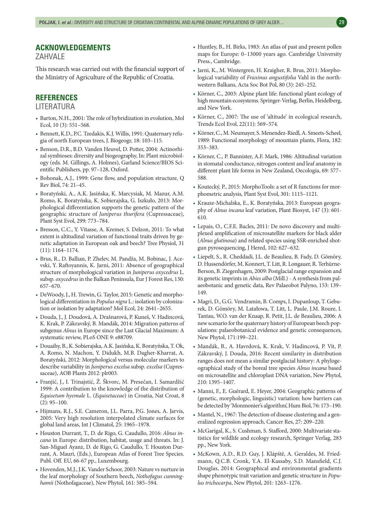ZAHVALE

This research was carried out with the financial support of the Ministry of Agriculture of the Republic of Croatia.

### **REFERENCES**

#### LITERATURA

- Barton, N.H., 2001: The role of hybridization in evolution, Mol Ecol, 10 (3): 551–568.
- Bennett, K.D., P.C. Tzedakis, K.J. Willis, 1991: Quaternary refugia of north European trees, J. Biogeogr, 18: 103–115.
- Benson, D.R., B.D. Vanden Heuvel, D. Potter, 2004: Actinorhizal symbioses: diversity and biogeography, In: Plant microbiology (eds. M. Gillings, A. Holmes), Garland Science/BIOS Scientific Publishers, pp. 97–128, Oxford.
- Bohonak, A.J., 1999: Gene flow, and population structure, Q Rev Biol, 74: 21–45.
- Boratyński, A., A.K. Jasińska, K. Marcysiak, M. Mazur, A.M. Romo, K. Boratyńska, K. Sobierajska, G. Iszkuło, 2013: Morphological differentiation supports the genetic pattern of the geographic structure of *Juniperus thurifera* (Cupressaceae), Plant Syst Evol, 299: 773–784.
- Bresson, C.C., Y. Vitasse, A. Kremer, S. Delzon, 2011: To what extent is altitudinal variation of functional traits driven by genetic adaptation in European oak and beech? Tree Physiol, 31 (11): 1164–1174.
- Brus, R., D. Ballian, P. Zhelev, M. Pandža, M. Bobinac, J. Acevski, Y. Raftoyannis, K. Jarni, 2011: Absence of geographical structure of morphological variation in *Juniperus oxycedrus* L. subsp. *oxycedrus* in the Balkan Peninsula, Eur J Forest Res, 130: 657–670.
- DeWoody, J., H. Trewin, G. Taylor, 2015: Genetic and morphological differentiation in *Populus nigra* L.: isolation by colonization or isolation by adaptation? Mol Ecol, 24: 2641–2655.
- Douda, J., J. Doudová, A. Drašnarová, P. Kuneš, V. Hadincová, K. Krak, P. Zákravský, B. Mandák, 2014: Migration patterns of subgenus *Alnus* in Europe since the Last Glacial Maximum: A systematic review, PLoS ONE 9: e88709.
- Douaihy, B., K. Sobierajska, A.K. Jasińska, K. Boratyńska, T. Ok, A. Romo, N. Machon, Y. Didukh, M.B. Dagher-Kharrat, A. Boratyński, 2012: Morphological versus molecular markers to describe variability in *Juniperus excelsa* subsp. *excelsa* (Cupressaceae), AOB Plants 2012: plr003.
- Franjić, J., I. Trinajstić, Ž. Škvorc, M. Presečan, I. Samardžić 1999: A contribution to the knowledge of the distribution of *Equisetum hyemale* L. (*Equisetaceae*) in Croatia, Nat Croat, 8  $(2): 95 - 100.$
- Hijmans, R.J., S.E. Cameron, J.L. Parra, P.G. Jones, A. Jarvis, 2005: Very high resolution interpolated climate surfaces for global land areas, Int J Climatol, 25: 1965–1978.
- Houston Durrant, T., D. de Rigo, G. Caudullo, 2016: *Alnus incana* in Europe: distribution, habitat, usage and threats. In: J. San-Miguel Ayanz, D. de Rigo, G. Caudullo, T. Houston Durrant, A. Mauri, (Eds.), European Atlas of Forest Tree Species. Publ. Off. EU, 66-67 pp., Luxembourg.
- Hovenden, M.J., J.K. Vander Schoor, 2003: Nature vs nurture in the leaf morphology of Southern beech, *Nothofagus cunninghamii* (Nothofagaceae), New Phytol, 161: 585–594.
- Huntley, B., H. Birks, 1983: An atlas of past and present pollen maps for Europe: 0–13000 years ago. Cambridge University Press., Cambridge.
- Jarni, K., M. Westergren, H. Kraigher, R. Brus, 2011: Morphological variability of *Fraxinus angustifolia* Vahl in the northwestern Balkans, Acta Soc Bot Pol, 80 (3): 245–252.
- Körner, C., 2003: Alpine plant life: functional plant ecology of high mountain ecosystems. Springer-Verlag, Berlin, Heidelberg, and New York.
- Körner, C., 2007: The use of 'altitude' in ecological research, Trends Ecol Evol, 22(11): 569–574.
- Körner, C., M. Neumayer, S. Menendez-Riedl, A. Smeets-Scheel, 1989: Functional morphology of mountain plants, Flora, 182: 353–383.
- Körner, C., P. Bannister, A.F. Mark, 1986: Altitudinal variation in stomatal conductance, nitrogen content and leaf anatomy in different plant life forms in New Zealand, Oecologia, 69: 577– 588.
- Koutecký, P., 2015: MorphoTools: a set of R functions for morphometric analysis, Plant Syst Evol, 301: 1115–1121.
- Krauze-Michalska, E., K. Boratyńska, 2013: European geography of *Alnus incana* leaf variation, Plant Biosyst, 147 (3): 601- 610.
- Lepais, O., C.F.E. Bacles, 2011: De novo discovery and multiplexed amplification of microsatellite markers for black alder (*Alnus glutinosa*) and related species using SSR-enriched shotgun pyrosequencing, J Hered, 102: 627–632.
- Liepelt, S., R. Cheddadi, J.L. de Beaulieu, B. Fady, D. Gömöry, D. Hussendörfer, M. Konnert, T. Litt, R. Longauer, R. Terhürne-Berson, B. Ziegenhagen, 2009: Postglacial range expansion and its genetic imprints in *Abies alba* (Mill.) - A synthesis from palaeobotanic and genetic data, Rev Palaeobot Palyno, 153: 139– 149.
- Magri, D., G.G. Vendramin, B. Comps, I. Dupanloup, T. Geburek, D. Gömöry, M. Latałowa, T. Litt, L. Paule, J.M. Roure, I. Tantau, W.O. van der Knaap, R. Petit, J.L. de Beaulieu, 2006: A new scenario for the quaternary history of European beech populations: palaeobotanical evidence and genetic consequences, New Phytol, 171:199–221.
- Mandák, B., A. Havrdová, K. Krak, V. Hadincová, P. Vít, P. Zákravský, J. Douda, 2016: Recent similarity in distribution ranges does not mean a similar postglacial history: A phylogeographical study of the boreal tree species *Alnus incana* based on microsatellite and chloroplast DNA variation, New Phytol, 210: 1395–1407.
- Manni, F., E. Guérard, E. Heyer, 2004: Geographic patterns of (genetic, morphologic, linguistic) variation: how barriers can be detected by 'Monmonier's algorithm', Hum Biol, 76: 173–190.
- Mantel, N., 1967: The detection of disease clustering and a generalized regression approach, Cancer Res, 27: 209–220.
- McGarigal, K., S. Cushman, S. Stafford, 2000: Multivariate statistics for wildlife and ecology research, Springer Verlag, 283 pp., New York.
- McKown, A.D., R.D. Guy, J. Klápště, A. Geraldes, M. Friedmann, Q.C.B. Cronk, Y.A. El-Kassaby, S.D. Mansfield, C.J. Douglas, 2014: Geographical and environmental gradients shape phenotypic trait variation and genetic structure in *Populus trichocarpa*, New Phytol, 201: 1263–1276.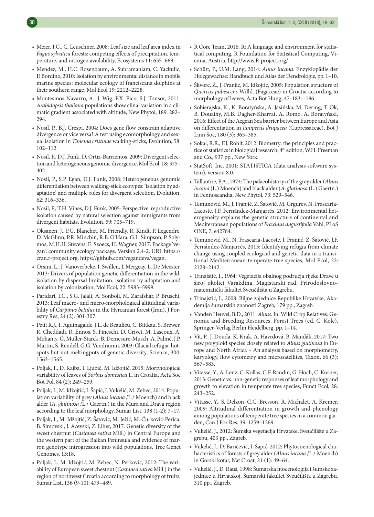- Meier, I.C., C. Leuschner, 2008: Leaf size and leaf area index in *Fagus sylvatica* forests: competing effects of precipitation, temperature, and nitrogen availability, Ecosystems 11: 655–669.
- Mendez, M., H.C. Rosenbaum, A. Subramaniam, C. Yackulic, P. Bordino, 2010: Isolation by environmental distance in mobile marine species: molecular ecology of franciscana dolphins at their southern range, Mol Ecol 19: 2212–2228.
- Montesinos-Navarro, A., J. Wig, F.X. Pico, S.J. Tonsor, 2011: *Arabidopsis thaliana* populations show clinal variation in a climatic gradient associated with altitude, New Phytol, 189: 282– 294.
- Nosil, P., B.J. Crespi, 2004: Does gene flow constrain adaptive divergence or vice versa? A test using ecomorphology and sexual isolation in *Timema cristinae* walking-sticks, Evolution, 58: 102–112.
- Nosil, P., D.J. Funk, D. Ortiz-Barrientos, 2009: Divergent selection and heterogeneous genomic divergence, Mol Ecol, 18: 375– 402.
- Nosil, P., S.P. Egan, D.J. Funk, 2008: Heterogeneous genomic differentiation between walking-stick ecotypes: 'isolation by adaptation' and multiple roles for divergent selection, Evolution, 62: 316–336.
- Nosil, P., T.H. Vines, D.J. Funk, 2005: Perspective: reproductive isolation caused by natural selection against immigrants from divergent habitats, Evolution, 59: 705–719.
- Oksanen, J., F.G. Blanchet, M. Friendly, R. Kindt, P. Legendre, D. McGlinn, P.R. Minchin, R.B. O'Hara, G.L. Simpson, P. Solymos, M.H.H. Stevens, E. Szoecs, H. Wagner, 2017: Package 'vegan': community ecology package. Version 2.4-2, URL https:// cran.r-project.org, https://github.com/vegandevs/vegan.
- Orsini, L., J. Vanoverbeke, I. Swillen, J. Mergeay, L. De Meester, 2013: Drivers of population genetic differentiation in the wild: isolation by dispersal limitation, isolation by adaptation and isolation by colonization, Mol Ecol, 22: 5983–5999.
- Paridari, I.C., S.G. Jalali, A. Sonboli, M. Zarafshar, P. Bruschi, 2013: Leaf macro- and micro-morphological altitudinal variability of *Carpinus betulus* in the Hyrcanian forest (Iran), J Forestry Res, 24 (2): 301-307.
- Petit R.J., I. Aguinagalde, J.L. de Beaulieu, C. Bittkau, S. Brewer, R. Cheddadi, R. Ennos, S. Fineschi, D. Grivet, M. Lascoux, A. Mohanty, G. Müller-Starck, B. Demesure-Musch, A. Palmé, J.P. Martin, S. Rendell, G.G. Vendramin, 2003: Glacial refugia: hotspots but not meltingpots of genetic diversity, Science, 300: 1563–1565.
- Poljak, I., D. Kajba, I. Ljubić, M. Idžojtić, 2015: Morphological variability of leaves of *Sorbus domestica* L. in Croatia, Acta Soc Bot Pol, 84 (2): 249–259.
- Poljak, I., M. Idžojtić, I. Šapić, J. Vukelić, M. Zebec, 2014. Population variability of grey (*Alnus incana* /L./ Moench) and black alder (*A. glutinosa* /L./ Gaertn.) in the Mura and Drava region according to the leaf morphology, Sumar List, 138 (1-2): 7–17.
- Poljak, I., M. Idžojtić, Z. Šatović, M. Ježić, M. Ćurković-Perica, B. Simovski, J. Acevski, Z. Liber, 2017: Genetic diversity of the sweet chestnut (*Castanea sativa* Mill.) in Central Europe and the western part of the Balkan Peninsula and evidence of marron genotype introgression into wild populations, Tree Genet Genomes, 13:18.
- Poljak, I., M. Idžojtić, M. Zebec, N. Perković, 2012: The variability of European sweet chestnut (*Castanea sativa* Mill.) in the region of northwest Croatia according to morphology of fruits, Sumar List, 136 (9-10): 479–489.
- R Core Team, 2016. R: A language and environment for statistical computing. R Foundation for Statistical Computing, Vienna, Austria. http://www.R-project.org/
- Schütt, P., U.M. Lang, 2014: *Alnus incana*. Enzyklopädie der Holzgewächse: Handbuch und Atlas der Dendrologie, pp. 1–10.
- Škvorc, Ž., J. Franjić, M. Idžojtić, 2005: Population structure of *Quercus pubescens* Willd. (Fagaceae) in Croatia according to morphology of leaves, Acta Bot Hung, 47: 183–-196.
- Sobierajska, K., K. Boratyńska, A. Jasińska, M. Dering, T. Ok, B. Douaihy, M.B. Dagher-Kharrat, A. Romo, A. Boratyński, 2016: Effect of the Aegean Sea barrier between Europe and Asia on differentiation in *Juniperus drupacea* (Cupressaceae), Bot J Linn Soc, 180 (3): 365–385.
- Sokal, R.R., F.J. Rohlf, 2012: Biometry: the principles and practice of statistics in biological research, 4<sup>th</sup> edition, W.H. Freeman and Co., 937 pp., New York.
- StatSoft, Inc. 2001: STATISTICA (data analysis software system), version 8.0.
- Tallantire, P.A., 1974: The palaeohistory of the grey alder (*Alnus incana* (L.) Moench) and black alder (*A*. *glutinosa* (L.) Gaertn.) in Fennoscandia, New Phytol, 73: 529–546.
- Temunović, M., J. Franjić, Z. Šatović, M. Grgurev, N. Frascaria-Lacoste, J.F. Fernández-Manjarrés, 2012: Environmental heterogeneity explains the genetic structure of continental and Mediterranean populations of *Fraxinus angustifolia* Vahl, PLoS ONE, 7, e42764.
- Temunović, M., N. Frascaria-Lacoste, J. Franjić, Z. Šatović, J.F. Fernández-Manjarrés, 2013: Identifying refugia from climate change using coupled ecological and genetic data in a transitional Mediterranean-temperate tree species, Mol Ecol, 22: 2128–2142.
- Trinajstić, I., 1964: Vegetacija obalnog područja rijeke Drave u široj okolici Varaždina, Magistarski rad, Prirodoslovnomatematički fakultet Sveučilišta u Zagrebu.
- Trinajstić, I., 2008: Biljne zajednice Republike Hrvatske, Akademija šumarskih znanosti Zagreb, 179 pp., Zagreb.
- Vanden Heuvel, B.D., 2011: *Alnus*. In: Wild Crop Relatives: Genomic and Breeding Resources, Forest Trees (ed. C. Kole), Springer-Verlag Berlin Heidelberg, pp. 1–14.
- Vít, P., J. Douda, K. Krak, A. Havrdová, B. Mandák, 2017: Two new polyploid species closely related to *Alnus glutinosa* in Europe and North Africa – An analysis based on morphometry, karyology, flow cytometry and microsatellites, Taxon, 66 (3): 567–583.
- Vitasse, Y., A. Lenz, C. Kollas, C.F. Randin, G. Hoch, C. Korner, 2013: Genetic vs. non-genetic responses of leaf morphology and growth to elevation in temperate tree species, Funct Ecol, 28: 243–252.
- Vitasse, Y., S. Delzon, C.C. Bresson, R. Michalet, A. Kremer, 2009: Altitudinal differentiation in growth and phenology among populations of temperate tree species in a common garden, Can J For Res, 39: 1259–1269.
- Vukelić, J., 2012: Šumska vegetacija Hrvatske, Sveučilište u Zagrebu, 403 pp., Zagreb.
- Vukelić, J., D. Baričević, I. Šapić, 2012: Phytocoenological chahacteristics of forests of grey alder (*Alnus incana* /L./ Moench) in Gorski kotar, Nat Croat, 21 (1): 49–64.
- Vukelić, J., Đ. Rauš, 1998: Šumarska fitocenologija i šumske zajednice u Hrvatskoj, Šumarski fakultet Sveučilišta u Zagrebu, 310 pp., Zagreb.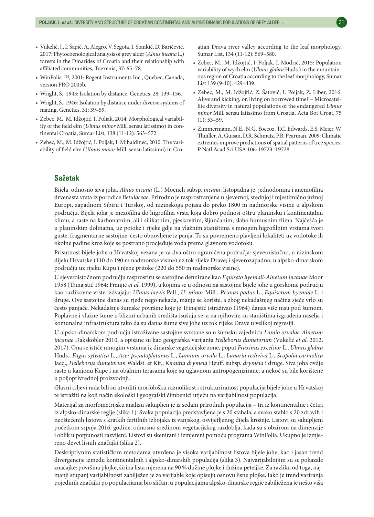- Vukelić, J., I. Šapić, A. Alegro, V. Šegota, I. Stankić, D. Baričević, 2017: Phytocoenological analysis of grey alder (*Alnus incana* L.) forests in the Dinarides of Croatia and their relationship with affiliated communities, Tuexenia, 37: 65–78.
- WinFolia <sup>TM</sup>, 2001: Regent Instruments Inc., Quebec, Canada, version PRO 2005b.
- Wright, S., 1943: Isolation by distance, Genetics, 28: 139–156.
- Wright, S., 1946: Isolation by distance under diverse systems of mating, Genetics, 31: 39–59.
- Zebec, M., M. Idžojtić, I. Poljak, 2014: Morphological variability of the field elm (*Ulmus minor* Mill. sensu latissimo) in continental Croatia, Sumar List, 138 (11-12): 563–572.
- Zebec, M., M. Idžojtić, I. Poljak, I. Mihaldinec, 2010: The variability of field elm (*Ulmus minor* Mill. sensu latissimo) in Cro-

atian Drava river valley according to the leaf morphology, Sumar List, 134 (11-12): 569–580.

- Zebec, M., M. Idžojtić, I. Poljak, I. Modrić, 2015: Population variability of wych elm (*Ulmus glabra* Huds.) in the mountainous region of Croatia according to the leaf morphology, Sumar List 139 (9-10): 429–439.
- Zebec, M., M. Idžojtić, Z. Šatović, I. Poljak, Z. Liber, 2016: Alive and kicking, or, living on borrowed time? – Microsatellite diversity in natural populations of the endangered *Ulmus minor* Mill. sensu latissimo from Croatia, Acta Bot Croat, 75  $(1): 53 - 59.$
- Zimmermann, N.E., N.G. Yoccoz, T.C. Edwards, E.S. Meier, W. Thuiller, A. Guisan, D.R. Schmatz, P.B. Pearman, 2009: Climatic extremes improve predictions of spatial patterns of tree species, P Natl Acad Sci USA 106: 19723–19728.

## **Sažetak**

Bijela, odnosno siva joha, *Alnus incana* (L.) Moench subsp. *incana*, listopadna je, jednodomna i anemofilna drvenasta vrsta iz porodice *Betulaceae*. Prirodno je rasprostranjena u sjevernoj, srednjoj i mjestimično južnoj Europi, zapadnom Sibiru i Turskoj, od nizinskoga pojasa do preko 1800 m nadmorske visine u alpskom području. Bijela joha je mezofilna do higrofilna vrsta koja dobro podnosi oštru planinsku i kontinentalnu klimu, a raste na karbonatnim, ali i silikatnim, pjeskovitim, šljunčanim, slabo humusnim tlima. Najčešća je u planinskim dolinama, uz potoke i rijeke gdje na vlažnim staništima s mnogim higrofilnim vrstama tvori guste, fragmentarne sastojine, često obnovljene iz panja. To su povremeno plavljeni lokaliteti uz vodotoke ili okolne padine kroz koje se postrano procjeđuje voda prema glavnom vodotoku.

Prisutnost bijele johe u Hrvatskoj vezana je za dva oštro ograničena područja: sjeveroistočno, u nizinskom dijelu Hrvatske (110 do 190 m nadmorske visine) uz tok rijeke Drave; i sjeverozapadno, u alpsko-dinarskom području uz rijeku Kupu i njene pritoke (220 do 550 m nadmorske visine).

U sjeveroistočnom području rasprostiru se sastojine definirane kao *Equiseto hyemali*-*Alnetum incanae* Moor 1958 (Trinajstić 1964; Franjić *et al*. 1999), u kojima se u odnosu na sastojine bijele johe u gorskome području kao razlikovne vrste izdvajaju: *Ulmus laevis* Pall., *U*. *minor* Mill., *Prunus padus* L., *Equisetum hyemale* L. i druge. Ove sastojine danas su rjeđe nego nekada, manje se koriste, a zbog nekadašnjeg načina sječe vrlo su često panjače. Nekadašnje šumske površine koje je Trinajstić istraživao (1964) danas više nisu pod šumom. Poplavne i vlažne šume u blizini urbanih središta isušuju se, a na njihovim su staništima izgrađena naselja i komunalna infrastruktura tako da su danas šume sive johe uz tok rijeke Drave u velikoj regresiji.

U alpsko-dinarskom području istraživane sastojine svrstane su u šumsku zajednicu *Lamio orvalae-Alnetum incanae* Dakskobler 2010, a opisane su kao geografska varijanta *Helleborus dumetorum* (Vukelić *et al*. 2012, 2017). Ona se ističe mnogim vrstama iz dinarske vegetacijske zone, poput *Fraxinus excelsior* L., *Ulmus glabra* Huds., *Fagus sylvatica* L., *Acer pseudoplatanus* L., *Lamium orvala* L., *Lunaria rediviva* L., *Scopolia carniolica* Jacq., *Helleborus dumetorum* Waldst. et Kit., *Knautia drymeia* Heuff. subsp. *drymeia* i druge. Siva joha ovdje raste u kanjonu Kupe i na obalnim terasama koje su uglavnom antropogenizirane, a nekoć su bile korištene u poljoprivrednoj proizvodnji.

Glavni ciljevi rada bili su utvrditi morfološku raznolikost i strukturiranost populacija bijele johe u Hrvatskoj te istražiti na koji način ekološki i geografski čimbenici utječu na varijabilnost populacija.

Materijal za morfometrijsku analizu sakupljen je iz sedam prirodnih populacija – tri iz kontinentalne i četiri iz alpsko-dinarske regije (slika 1). Svaka populacija predstavljena je s 20 stabala, a svako stablo s 20 zdravih i neoštećenih listova s kratkih fertilnih izbojaka iz vanjskog, osvijetljenog dijela krošnje. Listovi su sakupljeni početkom srpnja 2016. godine, odnosno sredinom vegetacijskog razdoblja, kada su s obzirom na dimenzije i oblik u potpunosti razvijeni. Listovi su skenirani i izmjereni pomoću programa WinFolia. Ukupno je izmjereno devet lisnih značajki (slika 2).

Deskriptivnim statističkim metodama utvrđena je visoka varijabilnost listova bijele johe, kao i jasan trend divergencije između kontinentalnih i alpsko-dinarskih populacija (slika 3). Najvarijabilnijim su se pokazale značajke: površina plojke, širina lista mjerena na 90 % dužine plojke i dužina peteljke. Za razliku od toga, najmanji stupanj varijabilnosti zabilježen je za varijable koje opisuju osnovu lisne plojke. Iako je trend variranja pojedinih značajki po populacijama bio sličan, u populacijama alpsko-dinarske regije zabilježena je nešto viša